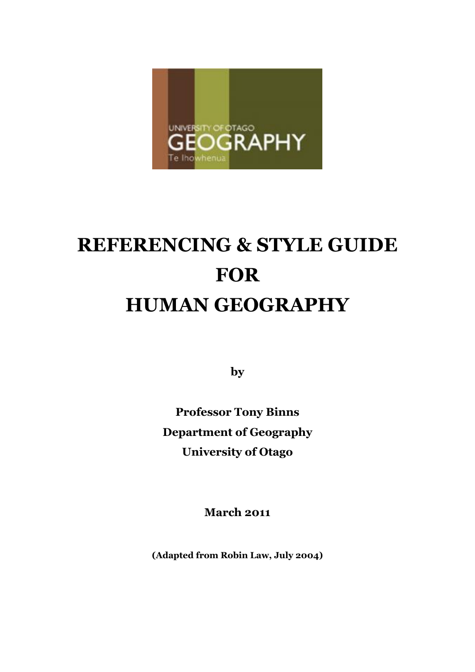

# **REFERENCING & STYLE GUIDE FOR HUMAN GEOGRAPHY**

**by**

**Professor Tony Binns Department of Geography University of Otago**

**March 2011**

**(Adapted from Robin Law, July 2004)**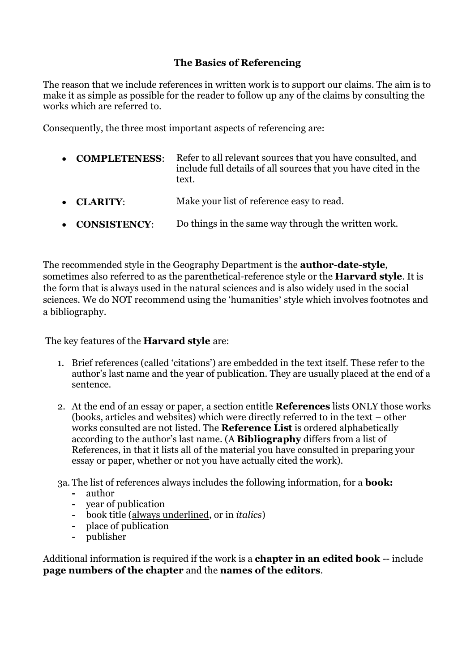## **The Basics of Referencing**

The reason that we include references in written work is to support our claims. The aim is to make it as simple as possible for the reader to follow up any of the claims by consulting the works which are referred to.

Consequently, the three most important aspects of referencing are:

- **COMPLETENESS**: Refer to all relevant sources that you have consulted, and include full details of all sources that you have cited in the text.
- **CLARITY**: Make your list of reference easy to read.
- **CONSISTENCY**: Do things in the same way through the written work.

The recommended style in the Geography Department is the **author-date-style**, sometimes also referred to as the parenthetical-reference style or the **Harvard style**. It is the form that is always used in the natural sciences and is also widely used in the social sciences. We do NOT recommend using the 'humanities' style which involves footnotes and a bibliography.

The key features of the **Harvard style** are:

- 1. Brief references (called 'citations') are embedded in the text itself. These refer to the author's last name and the year of publication. They are usually placed at the end of a sentence.
- 2. At the end of an essay or paper, a section entitle **References** lists ONLY those works (books, articles and websites) which were directly referred to in the text – other works consulted are not listed. The **Reference List** is ordered alphabetically according to the author's last name. (A **Bibliography** differs from a list of References, in that it lists all of the material you have consulted in preparing your essay or paper, whether or not you have actually cited the work).

3a. The list of references always includes the following information, for a **book:**

- **-** author
- **-** year of publication
- **-** book title (always underlined, or in *italics*)
- **-** place of publication
- **-** publisher

Additional information is required if the work is a **chapter in an edited book** -- include **page numbers of the chapter** and the **names of the editors**.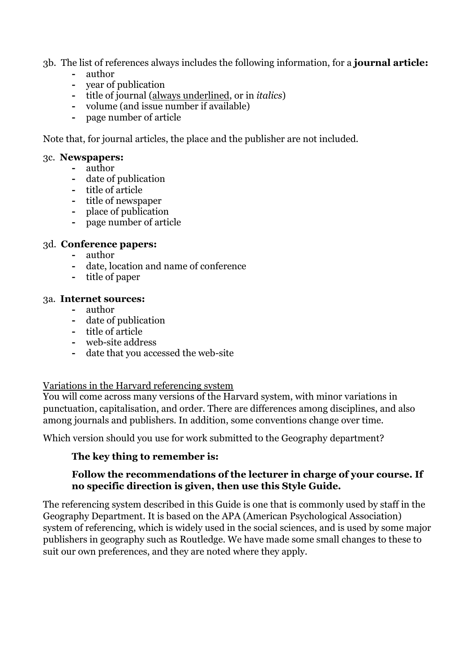3b. The list of references always includes the following information, for a **journal article:**

- **-** author
- **-** year of publication
- **-** title of journal (always underlined, or in *italics*)
- **-** volume (and issue number if available)
- **-** page number of article

Note that, for journal articles, the place and the publisher are not included.

#### 3c. **Newspapers:**

- **-** author
- **-** date of publication
- **-** title of article
- **-** title of newspaper
- **-** place of publication
- **-** page number of article

### 3d. **Conference papers:**

- **-** author
- **-** date, location and name of conference
- **-** title of paper

#### 3a. **Internet sources:**

- **-** author
- **-** date of publication
- **-** title of article
- **-** web-site address
- **-** date that you accessed the web-site

### Variations in the Harvard referencing system

You will come across many versions of the Harvard system, with minor variations in punctuation, capitalisation, and order. There are differences among disciplines, and also among journals and publishers. In addition, some conventions change over time.

Which version should you use for work submitted to the Geography department?

## **The key thing to remember is:**

## **Follow the recommendations of the lecturer in charge of your course. If no specific direction is given, then use this Style Guide.**

The referencing system described in this Guide is one that is commonly used by staff in the Geography Department. It is based on the APA (American Psychological Association) system of referencing, which is widely used in the social sciences, and is used by some major publishers in geography such as Routledge. We have made some small changes to these to suit our own preferences, and they are noted where they apply.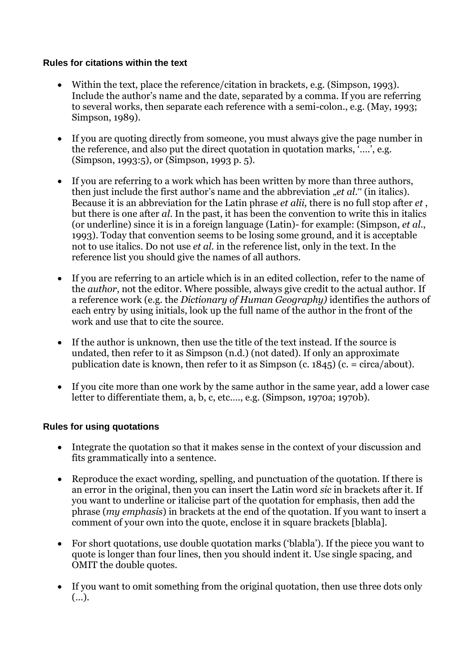### **Rules for citations within the text**

- Within the text, place the reference/citation in brackets, e.g. (Simpson, 1993). Include the author's name and the date, separated by a comma. If you are referring to several works, then separate each reference with a semi-colon., e.g. (May, 1993; Simpson, 1989).
- If you are quoting directly from someone, you must always give the page number in the reference, and also put the direct quotation in quotation marks, '….', e.g. (Simpson, 1993:5), or (Simpson, 1993 p. 5).
- If you are referring to a work which has been written by more than three authors, then just include the first author's name and the abbreviation "*et al*." (in italics). Because it is an abbreviation for the Latin phrase *et alii,* there is no full stop after *et* , but there is one after *al*. In the past, it has been the convention to write this in italics (or underline) since it is in a foreign language (Latin)- for example: (Simpson, *et al*., 1993). Today that convention seems to be losing some ground, and it is acceptable not to use italics. Do not use *et al.* in the reference list, only in the text. In the reference list you should give the names of all authors.
- If you are referring to an article which is in an edited collection, refer to the name of the *author*, not the editor. Where possible, always give credit to the actual author. If a reference work (e.g. the *Dictionary of Human Geography)* identifies the authors of each entry by using initials, look up the full name of the author in the front of the work and use that to cite the source.
- If the author is unknown, then use the title of the text instead. If the source is undated, then refer to it as Simpson (n.d.) (not dated). If only an approximate publication date is known, then refer to it as Simpson (c.  $1845$ ) (c. = circa/about).
- If you cite more than one work by the same author in the same year, add a lower case letter to differentiate them, a, b, c, etc…., e.g. (Simpson, 1970a; 1970b).

### **Rules for using quotations**

- Integrate the quotation so that it makes sense in the context of your discussion and fits grammatically into a sentence.
- Reproduce the exact wording, spelling, and punctuation of the quotation. If there is an error in the original, then you can insert the Latin word *sic* in brackets after it. If you want to underline or italicise part of the quotation for emphasis, then add the phrase (*my emphasis*) in brackets at the end of the quotation. If you want to insert a comment of your own into the quote, enclose it in square brackets [blabla].
- For short quotations, use double quotation marks ('blabla'). If the piece you want to quote is longer than four lines, then you should indent it. Use single spacing, and OMIT the double quotes.
- If you want to omit something from the original quotation, then use three dots only (…).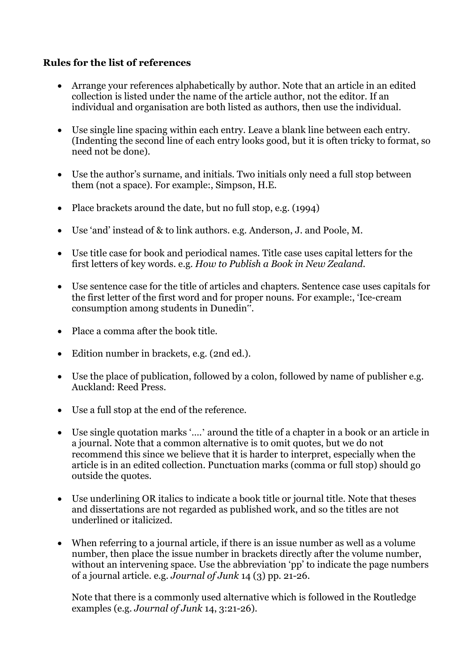## **Rules for the list of references**

- Arrange your references alphabetically by author. Note that an article in an edited collection is listed under the name of the article author, not the editor. If an individual and organisation are both listed as authors, then use the individual.
- Use single line spacing within each entry. Leave a blank line between each entry. (Indenting the second line of each entry looks good, but it is often tricky to format, so need not be done).
- Use the author's surname, and initials. Two initials only need a full stop between them (not a space). For example:, Simpson, H.E.
- Place brackets around the date, but no full stop, e.g.  $(1994)$
- Use 'and' instead of & to link authors. e.g. Anderson, J. and Poole, M.
- Use title case for book and periodical names. Title case uses capital letters for the first letters of key words. e.g. *How to Publish a Book in New Zealand.*
- Use sentence case for the title of articles and chapters. Sentence case uses capitals for the first letter of the first word and for proper nouns. For example:, 'Ice-cream consumption among students in Dunedin".
- Place a comma after the book title.
- Edition number in brackets, e.g. (2nd ed.).
- Use the place of publication, followed by a colon, followed by name of publisher e.g. Auckland: Reed Press.
- Use a full stop at the end of the reference.
- Use single quotation marks '….' around the title of a chapter in a book or an article in a journal. Note that a common alternative is to omit quotes, but we do not recommend this since we believe that it is harder to interpret, especially when the article is in an edited collection. Punctuation marks (comma or full stop) should go outside the quotes.
- Use underlining OR italics to indicate a book title or journal title. Note that theses and dissertations are not regarded as published work, and so the titles are not underlined or italicized.
- When referring to a journal article, if there is an issue number as well as a volume number, then place the issue number in brackets directly after the volume number, without an intervening space. Use the abbreviation 'pp' to indicate the page numbers of a journal article. e.g. *Journal of Junk* 14 (3) pp. 21-26.

Note that there is a commonly used alternative which is followed in the Routledge examples (e.g. *Journal of Junk* 14, 3:21-26).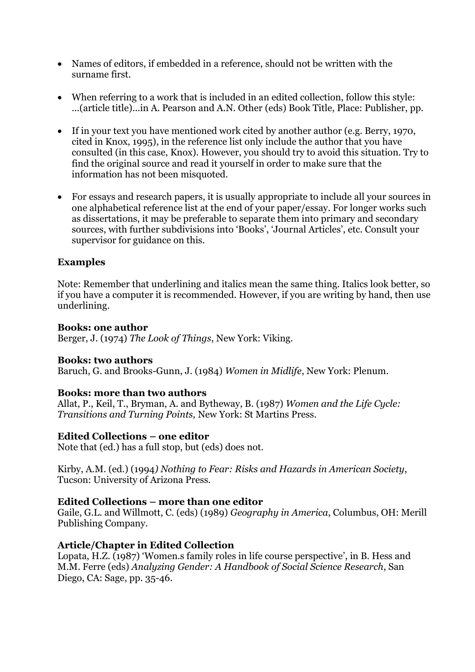- Names of editors, if embedded in a reference, should not be written with the surname first.
- When referring to a work that is included in an edited collection, follow this style: ...(article title)...in A. Pearson and A.N. Other (eds) Book Title, Place: Publisher, pp.
- If in your text you have mentioned work cited by another author (e.g. Berry, 1970, cited in Knox, 1995), in the reference list only include the author that you have consulted (in this case, Knox). However, you should try to avoid this situation. Try to find the original source and read it yourself in order to make sure that the information has not been misquoted.
- For essays and research papers, it is usually appropriate to include all your sources in one alphabetical reference list at the end of your paper/essay. For longer works such as dissertations, it may be preferable to separate them into primary and secondary sources, with further subdivisions into 'Books', 'Journal Articles', etc. Consult your supervisor for guidance on this.

## **Examples**

Note: Remember that underlining and italics mean the same thing. Italics look better, so if you have a computer it is recommended. However, if you are writing by hand, then use underlining.

### **Books: one author**

Berger, J. (1974) *The Look of Things*, New York: Viking.

### **Books: two authors**

Baruch, G. and Brooks-Gunn, J. (1984) *Women in Midlife*, New York: Plenum.

## **Books: more than two authors**

Allat, P., Keil, T., Bryman, A. and Bytheway, B. (1987) *Women and the Life Cycle: Transitions and Turning Points,* New York: St Martins Press.

### **Edited Collections – one editor**

Note that (ed.) has a full stop, but (eds) does not.

Kirby, A.M. (ed.) (1994*) Nothing to Fear: Risks and Hazards in American Society*, Tucson: University of Arizona Press.

## **Edited Collections – more than one editor**

Gaile, G.L. and Willmott, C. (eds) (1989) *Geography in America*, Columbus, OH: Merill Publishing Company.

## **Article/Chapter in Edited Collection**

Lopata, H.Z. (1987) 'Women.s family roles in life course perspective', in B. Hess and M.M. Ferre (eds) *Analyzing Gender: A Handbook of Social Science Research*, San Diego, CA: Sage, pp. 35-46.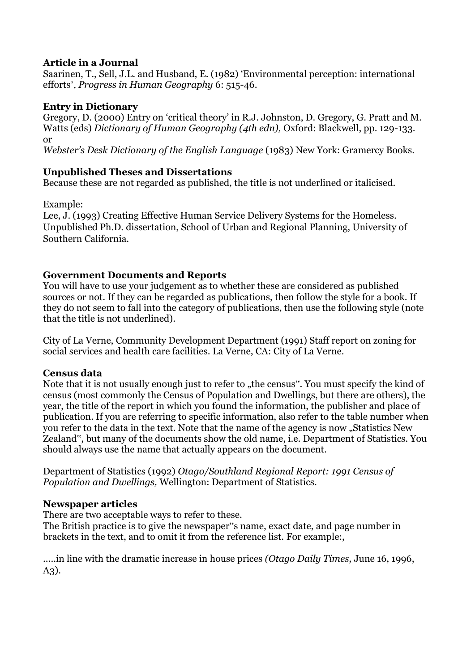## **Article in a Journal**

Saarinen, T., Sell, J.L. and Husband, E. (1982) 'Environmental perception: international efforts', *Progress in Human Geography* 6: 515-46.

## **Entry in Dictionary**

Gregory, D. (2000) Entry on 'critical theory' in R.J. Johnston, D. Gregory, G. Pratt and M. Watts (eds) *Dictionary of Human Geography (4th edn),* Oxford: Blackwell, pp. 129-133. or

*Webster's Desk Dictionary of the English Language* (1983) New York: Gramercy Books.

## **Unpublished Theses and Dissertations**

Because these are not regarded as published, the title is not underlined or italicised.

Example:

Lee, J. (1993) Creating Effective Human Service Delivery Systems for the Homeless. Unpublished Ph.D. dissertation, School of Urban and Regional Planning, University of Southern California.

## **Government Documents and Reports**

You will have to use your judgement as to whether these are considered as published sources or not. If they can be regarded as publications, then follow the style for a book. If they do not seem to fall into the category of publications, then use the following style (note that the title is not underlined).

City of La Verne, Community Development Department (1991) Staff report on zoning for social services and health care facilities. La Verne, CA: City of La Verne.

## **Census data**

Note that it is not usually enough just to refer to "the census". You must specify the kind of census (most commonly the Census of Population and Dwellings, but there are others), the year, the title of the report in which you found the information, the publisher and place of publication. If you are referring to specific information, also refer to the table number when you refer to the data in the text. Note that the name of the agency is now "Statistics New Zealand", but many of the documents show the old name, i.e. Department of Statistics. You should always use the name that actually appears on the document.

Department of Statistics (1992) *Otago/Southland Regional Report: 1991 Census of Population and Dwellings,* Wellington: Department of Statistics.

## **Newspaper articles**

There are two acceptable ways to refer to these.

The British practice is to give the newspaper"s name, exact date, and page number in brackets in the text, and to omit it from the reference list. For example:,

.....in line with the dramatic increase in house prices *(Otago Daily Times,* June 16, 1996, A3).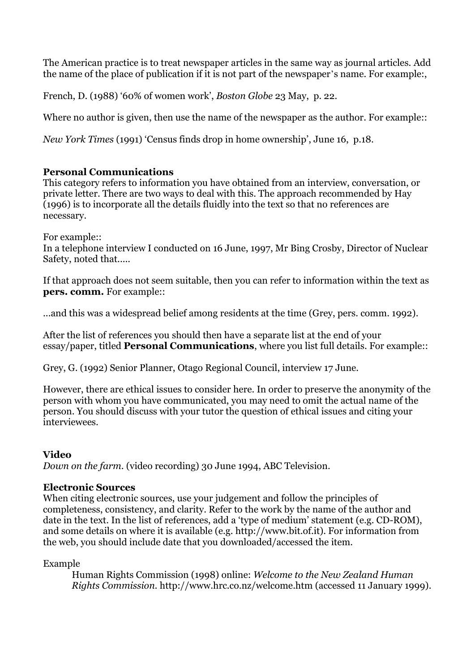The American practice is to treat newspaper articles in the same way as journal articles. Add the name of the place of publication if it is not part of the newspaper's name. For example:,

French, D. (1988) '60% of women work', *Boston Globe* 23 May, p. 22.

Where no author is given, then use the name of the newspaper as the author. For example::

*New York Times* (1991) 'Census finds drop in home ownership', June 16, p.18.

## **Personal Communications**

This category refers to information you have obtained from an interview, conversation, or private letter. There are two ways to deal with this. The approach recommended by Hay (1996) is to incorporate all the details fluidly into the text so that no references are necessary.

For example::

In a telephone interview I conducted on 16 June, 1997, Mr Bing Crosby, Director of Nuclear Safety, noted that.....

If that approach does not seem suitable, then you can refer to information within the text as **pers. comm.** For example::

...and this was a widespread belief among residents at the time (Grey, pers. comm. 1992).

After the list of references you should then have a separate list at the end of your essay/paper, titled **Personal Communications**, where you list full details. For example::

Grey, G. (1992) Senior Planner, Otago Regional Council, interview 17 June.

However, there are ethical issues to consider here. In order to preserve the anonymity of the person with whom you have communicated, you may need to omit the actual name of the person. You should discuss with your tutor the question of ethical issues and citing your interviewees.

## **Video**

*Down on the farm*. (video recording) 30 June 1994, ABC Television.

## **Electronic Sources**

When citing electronic sources, use your judgement and follow the principles of completeness, consistency, and clarity. Refer to the work by the name of the author and date in the text. In the list of references, add a 'type of medium' statement (e.g. CD-ROM), and some details on where it is available (e.g. http://www.bit.of.it). For information from the web, you should include date that you downloaded/accessed the item.

## Example

Human Rights Commission (1998) online: *Welcome to the New Zealand Human Rights Commission.* http://www.hrc.co.nz/welcome.htm (accessed 11 January 1999).